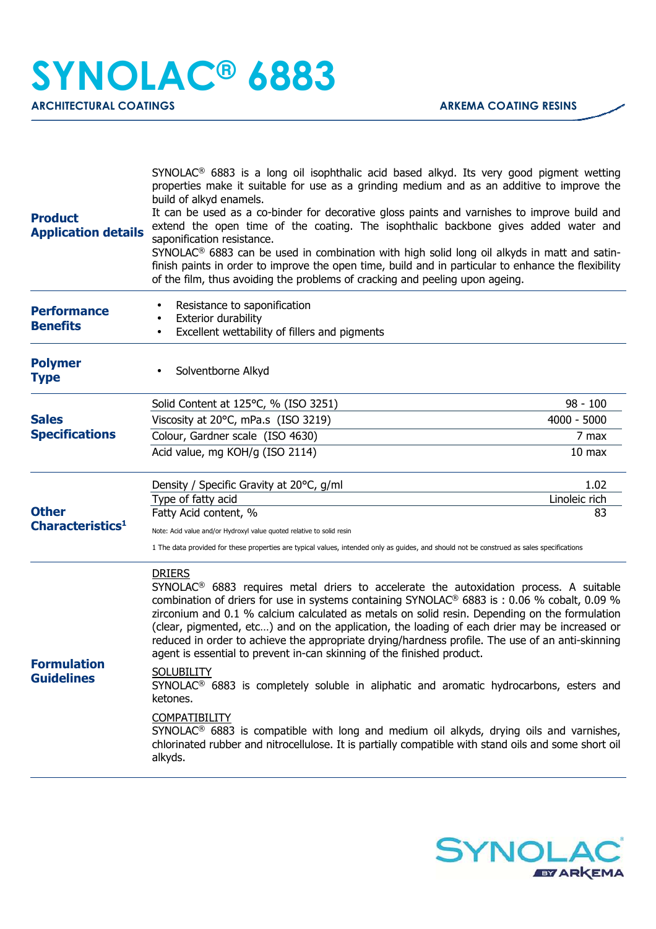| <b>Product</b><br><b>Application details</b> | SYNOLAC <sup>®</sup> 6883 is a long oil isophthalic acid based alkyd. Its very good pigment wetting<br>properties make it suitable for use as a grinding medium and as an additive to improve the<br>build of alkyd enamels.<br>It can be used as a co-binder for decorative gloss paints and varnishes to improve build and<br>extend the open time of the coating. The isophthalic backbone gives added water and<br>saponification resistance.<br>SYNOLAC <sup>®</sup> 6883 can be used in combination with high solid long oil alkyds in matt and satin-<br>finish paints in order to improve the open time, build and in particular to enhance the flexibility<br>of the film, thus avoiding the problems of cracking and peeling upon ageing.                                                                                                                                                                                                                                          |                             |
|----------------------------------------------|----------------------------------------------------------------------------------------------------------------------------------------------------------------------------------------------------------------------------------------------------------------------------------------------------------------------------------------------------------------------------------------------------------------------------------------------------------------------------------------------------------------------------------------------------------------------------------------------------------------------------------------------------------------------------------------------------------------------------------------------------------------------------------------------------------------------------------------------------------------------------------------------------------------------------------------------------------------------------------------------|-----------------------------|
| <b>Performance</b><br><b>Benefits</b>        | Resistance to saponification<br>Exterior durability<br>Excellent wettability of fillers and pigments                                                                                                                                                                                                                                                                                                                                                                                                                                                                                                                                                                                                                                                                                                                                                                                                                                                                                         |                             |
| <b>Polymer</b><br><b>Type</b>                | Solventborne Alkyd                                                                                                                                                                                                                                                                                                                                                                                                                                                                                                                                                                                                                                                                                                                                                                                                                                                                                                                                                                           |                             |
|                                              | Solid Content at 125°C, % (ISO 3251)                                                                                                                                                                                                                                                                                                                                                                                                                                                                                                                                                                                                                                                                                                                                                                                                                                                                                                                                                         | 98 - 100                    |
| <b>Sales</b><br><b>Specifications</b>        | Viscosity at 20°C, mPa.s (ISO 3219)                                                                                                                                                                                                                                                                                                                                                                                                                                                                                                                                                                                                                                                                                                                                                                                                                                                                                                                                                          | $4000 - 5000$               |
|                                              | Colour, Gardner scale (ISO 4630)                                                                                                                                                                                                                                                                                                                                                                                                                                                                                                                                                                                                                                                                                                                                                                                                                                                                                                                                                             | 7 max                       |
|                                              | Acid value, mg KOH/g (ISO 2114)                                                                                                                                                                                                                                                                                                                                                                                                                                                                                                                                                                                                                                                                                                                                                                                                                                                                                                                                                              | 10 <sub>max</sub>           |
| <b>Other</b><br>Characteristics <sup>1</sup> | Density / Specific Gravity at 20°C, g/ml<br>Type of fatty acid<br>Fatty Acid content, %<br>Note: Acid value and/or Hydroxyl value quoted relative to solid resin<br>1 The data provided for these properties are typical values, intended only as guides, and should not be construed as sales specifications                                                                                                                                                                                                                                                                                                                                                                                                                                                                                                                                                                                                                                                                                | 1.02<br>Linoleic rich<br>83 |
| <b>Formulation</b><br><b>Guidelines</b>      | <b>DRIERS</b><br>SYNOLAC <sup>®</sup> 6883 requires metal driers to accelerate the autoxidation process. A suitable<br>combination of driers for use in systems containing SYNOLAC® 6883 is : 0.06 % cobalt, 0.09 %<br>zirconium and 0.1 % calcium calculated as metals on solid resin. Depending on the formulation<br>(clear, pigmented, etc) and on the application, the loading of each drier may be increased or<br>reduced in order to achieve the appropriate drying/hardness profile. The use of an anti-skinning<br>agent is essential to prevent in-can skinning of the finished product.<br><b>SOLUBILITY</b><br>SYNOLAC <sup>®</sup> 6883 is completely soluble in aliphatic and aromatic hydrocarbons, esters and<br>ketones.<br><b>COMPATIBILITY</b><br>SYNOLAC <sup>®</sup> 6883 is compatible with long and medium oil alkyds, drying oils and varnishes,<br>chlorinated rubber and nitrocellulose. It is partially compatible with stand oils and some short oil<br>alkyds. |                             |